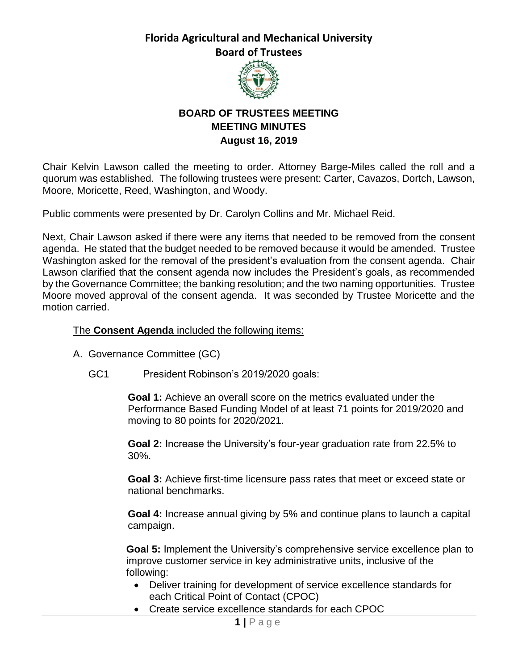

## **BOARD OF TRUSTEES MEETING MEETING MINUTES August 16, 2019**

Chair Kelvin Lawson called the meeting to order. Attorney Barge-Miles called the roll and a quorum was established. The following trustees were present: Carter, Cavazos, Dortch, Lawson, Moore, Moricette, Reed, Washington, and Woody.

Public comments were presented by Dr. Carolyn Collins and Mr. Michael Reid.

Next, Chair Lawson asked if there were any items that needed to be removed from the consent agenda. He stated that the budget needed to be removed because it would be amended. Trustee Washington asked for the removal of the president's evaluation from the consent agenda. Chair Lawson clarified that the consent agenda now includes the President's goals, as recommended by the Governance Committee; the banking resolution; and the two naming opportunities. Trustee Moore moved approval of the consent agenda. It was seconded by Trustee Moricette and the motion carried.

#### The **Consent Agenda** included the following items:

- A. Governance Committee (GC)
	- GC1 President Robinson's 2019/2020 goals:

**Goal 1:** Achieve an overall score on the metrics evaluated under the Performance Based Funding Model of at least 71 points for 2019/2020 and moving to 80 points for 2020/2021.

**Goal 2:** Increase the University's four-year graduation rate from 22.5% to 30%.

**Goal 3:** Achieve first-time licensure pass rates that meet or exceed state or national benchmarks.

**Goal 4:** Increase annual giving by 5% and continue plans to launch a capital campaign.

**Goal 5:** Implement the University's comprehensive service excellence plan to improve customer service in key administrative units, inclusive of the following:

- Deliver training for development of service excellence standards for each Critical Point of Contact (CPOC)
- Create service excellence standards for each CPOC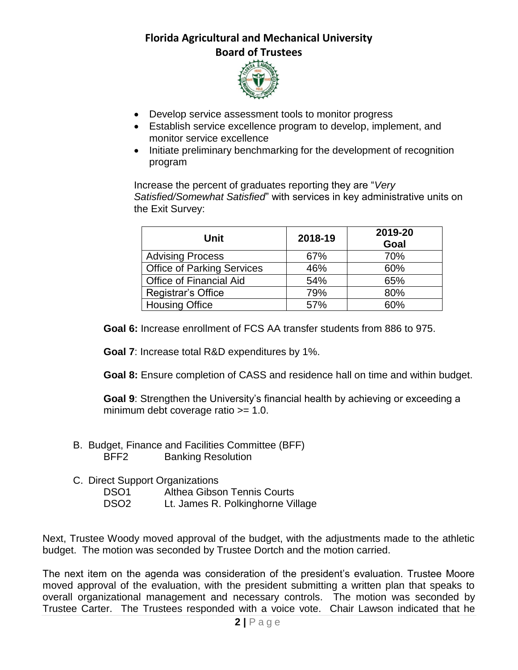

- Develop service assessment tools to monitor progress
- Establish service excellence program to develop, implement, and monitor service excellence
- Initiate preliminary benchmarking for the development of recognition program

Increase the percent of graduates reporting they are "*Very Satisfied/Somewhat Satisfied*" with services in key administrative units on the Exit Survey:

| Unit                           | 2018-19 | 2019-20<br>Goal |
|--------------------------------|---------|-----------------|
| <b>Advising Process</b>        | 67%     | 70%             |
| Office of Parking Services     | 46%     | 60%             |
| <b>Office of Financial Aid</b> | 54%     | 65%             |
| Registrar's Office             | 79%     | 80%             |
| <b>Housing Office</b>          | 57%     | 60%             |

**Goal 6:** Increase enrollment of FCS AA transfer students from 886 to 975.

**Goal 7**: Increase total R&D expenditures by 1%.

**Goal 8:** Ensure completion of CASS and residence hall on time and within budget.

**Goal 9**: Strengthen the University's financial health by achieving or exceeding a minimum debt coverage ratio >= 1.0.

- B. Budget, Finance and Facilities Committee (BFF) BFF2 Banking Resolution
- C. Direct Support Organizations
	- DSO1 Althea Gibson Tennis Courts
	- DSO2 Lt. James R. Polkinghorne Village

Next, Trustee Woody moved approval of the budget, with the adjustments made to the athletic budget. The motion was seconded by Trustee Dortch and the motion carried.

The next item on the agenda was consideration of the president's evaluation. Trustee Moore moved approval of the evaluation, with the president submitting a written plan that speaks to overall organizational management and necessary controls. The motion was seconded by Trustee Carter. The Trustees responded with a voice vote. Chair Lawson indicated that he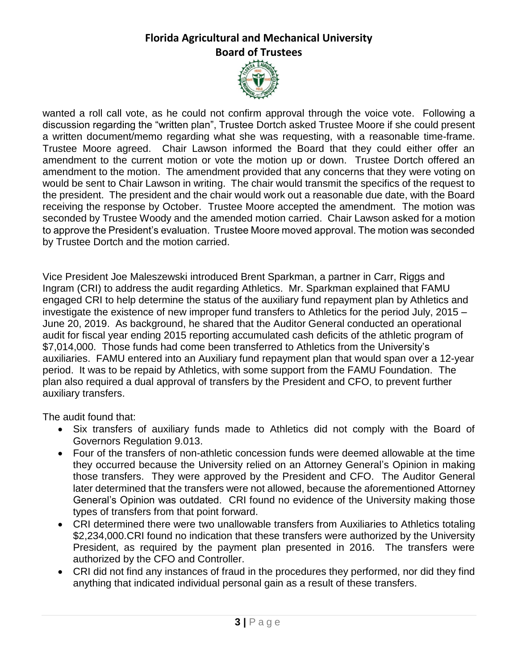

wanted a roll call vote, as he could not confirm approval through the voice vote. Following a discussion regarding the "written plan", Trustee Dortch asked Trustee Moore if she could present a written document/memo regarding what she was requesting, with a reasonable time-frame. Trustee Moore agreed. Chair Lawson informed the Board that they could either offer an amendment to the current motion or vote the motion up or down. Trustee Dortch offered an amendment to the motion. The amendment provided that any concerns that they were voting on would be sent to Chair Lawson in writing. The chair would transmit the specifics of the request to the president. The president and the chair would work out a reasonable due date, with the Board receiving the response by October. Trustee Moore accepted the amendment. The motion was seconded by Trustee Woody and the amended motion carried. Chair Lawson asked for a motion to approve the President's evaluation. Trustee Moore moved approval. The motion was seconded by Trustee Dortch and the motion carried.

Vice President Joe Maleszewski introduced Brent Sparkman, a partner in Carr, Riggs and Ingram (CRI) to address the audit regarding Athletics. Mr. Sparkman explained that FAMU engaged CRI to help determine the status of the auxiliary fund repayment plan by Athletics and investigate the existence of new improper fund transfers to Athletics for the period July, 2015 – June 20, 2019. As background, he shared that the Auditor General conducted an operational audit for fiscal year ending 2015 reporting accumulated cash deficits of the athletic program of \$7,014,000. Those funds had come been transferred to Athletics from the University's auxiliaries. FAMU entered into an Auxiliary fund repayment plan that would span over a 12-year period. It was to be repaid by Athletics, with some support from the FAMU Foundation. The plan also required a dual approval of transfers by the President and CFO, to prevent further auxiliary transfers.

The audit found that:

- Six transfers of auxiliary funds made to Athletics did not comply with the Board of Governors Regulation 9.013.
- Four of the transfers of non-athletic concession funds were deemed allowable at the time they occurred because the University relied on an Attorney General's Opinion in making those transfers. They were approved by the President and CFO. The Auditor General later determined that the transfers were not allowed, because the aforementioned Attorney General's Opinion was outdated. CRI found no evidence of the University making those types of transfers from that point forward.
- CRI determined there were two unallowable transfers from Auxiliaries to Athletics totaling \$2,234,000.CRI found no indication that these transfers were authorized by the University President, as required by the payment plan presented in 2016. The transfers were authorized by the CFO and Controller.
- CRI did not find any instances of fraud in the procedures they performed, nor did they find anything that indicated individual personal gain as a result of these transfers.